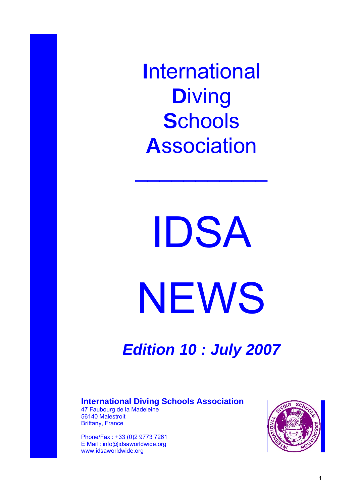**I**nternational **D**iving **S**chools **A**ssociation

 $\mathcal{L}_\text{max}$  and  $\mathcal{L}_\text{max}$ 

IDSA NEWS

*Edition 10 : July 2007* 

## **International Diving Schools Association**

47 Faubourg de la Madeleine 56140 Malestroit Brittany, France

Phone/Fax : +33 (0)2 9773 7261 E Mail : info@idsaworldwide.org [www.idsaworldwide.org](http://www.idsaworldwide.org/)

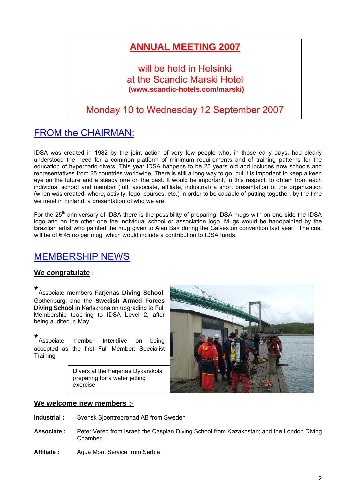# **ANNUAL MEETING 2007**

## will be held in Helsinki at the Scandic Marski Hotel **(www.scandic-hotels.com/marski)**

# Monday 10 to Wednesday 12 September 2007

# FROM the CHAIRMAN:

IDSA was created in 1982 by the joint action of very few people who, in those early days, had clearly understood the need for a common platform of minimum requirements and of training patterns for the education of hyperbaric divers. This year IDSA happens to be 25 years old and includes now schools and representatives from 25 countries worldwide. There is still a long way to go, but it is important to keep a keen eye on the future and a steady one on the past. It would be important, in this respect, to obtain from each individual school and member (full, associate, affiliate, industrial) a short presentation of the organization (when was created, where, activity, logo, courses, etc.) in order to be capable of putting together, by the time we meet in Finland, a presentation of who we are.

For the  $25<sup>th</sup>$  anniversary of IDSA there is the possibility of preparing IDSA mugs with on one side the IDSA logo and on the other one the individual school or association logo. Mugs would be handpainted by the Brazilian artist who painted the mug given to Alan Bax during the Galveston convention last year. The cost will be of € 45.oo per mug, which would include a contribution to IDSA funds.

## MEMBERSHIP NEWS

### **We congratulate** :

\* Associate members **Farjenas Diving School**, Gothenburg, and the **Swedish Armed Forces Diving School** in Karlskrona on upgrading to Full Membership teaching to IDSA Level 2, after being audited in May.

\* Associate member **Interdive** on being accepted as the first Full Member: Specialist **Training** 

> Divers at the Farjenas Dykarskola preparing for a water jetting exercise



### **We welcome new members ;-**

- **Industrial :** Svensk Sjoentreprenad AB from Sweden
- **Associate :** Peter Vered from Israel; the Caspian Diving School from Kazakhstan; and the London Diving Chamber
- Affiliate : Aqua Mont Service from Serbia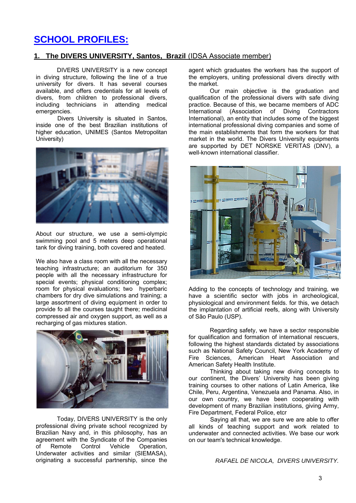## **SCHOOL PROFILES:**

### **1. The DIVERS UNIVERSITY, Santos, Brazil** (IDSA Associate member)

DIVERS UNIVERSITY is a new concept in diving structure, following the line of a true university for divers. It has several courses available, and offers credentials for all levels of divers, from children to professional divers, including technicians in attending medical emergencies.

 Divers University is situated in Santos, inside one of the best Brazilian institutions of higher education, UNIMES (Santos Metropolitan University)



About our structure, we use a semi-olympic swimming pool and 5 meters deep operational tank for diving training, both covered and heated.

We also have a class room with all the necessary teaching infrastructure; an auditorium for 350 people with all the necessary infrastructure for special events; physical conditioning complex; room for physical evaluations; two hyperbaric chambers for dry dive simulations and training; a large assortment of diving equipment in order to provide fo all the courses taught there; medicinal compressed air and oxygen support, as well as a recharging of gas mixtures station.



Today, DIVERS UNIVERSITY is the only professional diving private school recognized by Brazilian Navy and, in this philosophy, has an agreement with the Syndicate of the Companies of Remote Control Vehicle Operation, Underwater activities and similar (SIEMASA), originating a successful partnership, since the agent which graduates the workers has the support of the employers, uniting professional divers directly with the market.

Our main objective is the graduation and qualification of the professional divers with safe diving practice. Because of this, we became members of ADC International (Association of Diving Contractors International), an entity that includes some of the biggest international professional diving companies and some of the main establishments that form the workers for that market in the world. The Divers University equipments are supported by DET NORSKE VERITAS (DNV), a well-known international classifier.



Adding to the concepts of technology and training, we have a scientific sector with jobs in archeological, physiological and environment fields. for this, we detach the implantation of artificial reefs, along with University of São Paulo (USP).

Regarding safety, we have a sector responsible for qualification and formation of international rescuers, following the highest standards dictated by associations such as National Safety Council, New York Academy of Fire Sciences, American Heart Association and American Safety Health Institute.

Thinking about taking new diving concepts to our continent, the Divers' University has been giving training courses to other nations of Latin America, like Chile, Peru, Argentina, Venezuela and Panama. Also, in our own country, we have been cooperating with development of many Brazilian institutions, giving Army, Fire Department, Federal Police, etcr

 Saying all that, we are sure we are able to offer all kinds of teaching support and work related to underwater and connected activities. We base our work on our team's technical knowledge.

*RAFAEL DE NICOLA, DIVERS UNIVERSITY.*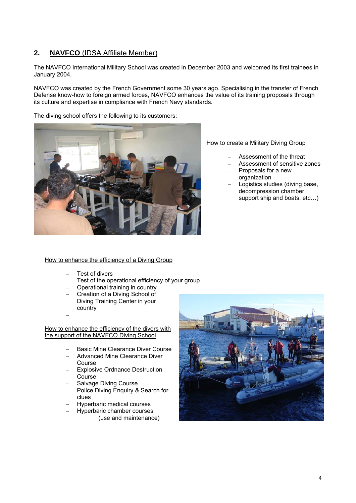### **2. NAVFCO** (IDSA Affiliate Member)

The NAVFCO International Military School was created in December 2003 and welcomed its first trainees in January 2004.

NAVFCO was created by the French Government some 30 years ago. Specialising in the transfer of French Defense know-how to foreign armed forces, NAVFCO enhances the value of its training proposals through its culture and expertise in compliance with French Navy standards.

The diving school offers the following to its customers:



#### How to create a Military Diving Group

- Assessment of the threat
- Assessment of sensitive zones
- Proposals for a new organization
- Logistics studies (diving base, decompression chamber, support ship and boats, etc…)

#### How to enhance the efficiency of a Diving Group

- Test of divers
- Test of the operational efficiency of your group
- Operational training in country
- Creation of a Diving School of Diving Training Center in your country

–

How to enhance the efficiency of the divers with the support of the NAVFCO Diving School

- Basic Mine Clearance Diver Course
- Advanced Mine Clearance Diver Course
- Explosive Ordnance Destruction **Course**
- Salvage Diving Course
- Police Diving Enquiry & Search for clues
- Hyperbaric medical courses
- Hyperbaric chamber courses (use and maintenance)

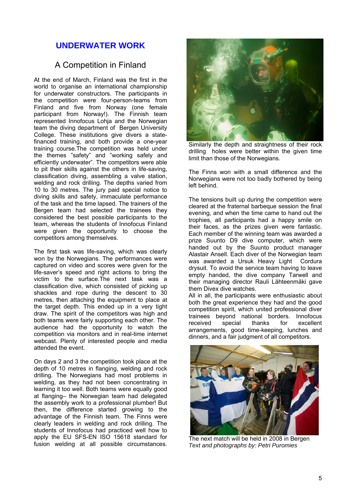## **UNDERWATER WORK**

## A Competition in Finland

At the end of March, Finland was the first in the world to organise an international championship for underwater constructors. The participants in the competition were four-person-teams from Finland and five from Norway (one female participant from Norway!). The Finnish team represented Innofocus Lohja and the Norwegian team the diving department of Bergen University College. These institutions give divers a statefinanced training, and both provide a one-year training course.The competition was held under the themes "safety" and "working safely and efficiently underwater". The competitors were able to pit their skills against the others in life-saving, classification diving, assembling a valve station, welding and rock drilling. The depths varied from 10 to 30 metres. The jury paid special notice to diving skills and safety, immaculate performance of the task and the time lapsed. The trainers of the Bergen team had selected the trainees they considered the best possible participants to the team, whereas the students of Innofocus Finland were given the opportunity to choose the competitors among themselves.

The first task was life-saving, which was clearly won by the Norwegians. The performances were captured on video and scores were given for the life-saver's speed and right actions to bring the victim to the surface.The next task was a classification dive, which consisted of picking up shackles and rope during the descent to 30 metres, then attaching the equipment to place at the target depth. This ended up in a very tight draw. The spirit of the competitors was high and both teams were fairly supporting each other. The audience had the opportunity to watch the competition via monitors and in real-time internet webcast. Plenty of interested people and media attended the event.

On days 2 and 3 the competition took place at the depth of 10 metres in flanging, welding and rock drilling. The Norwegians had most problems in welding, as they had not been concentrating in learning it too well. Both teams were equally good at flanging– the Norwegian team had delegated the assembly work to a professional plumber! But then, the difference started growing to the advantage of the Finnish team. The Finns were clearly leaders in welding and rock drilling. The students of Innofocus had practiced well how to apply the EU SFS-EN ISO 15618 standard for fusion welding at all possible circumstances.



Similarly the depth and straightness of their rock drilling holes were better within the given time limit than those of the Norwegians.

The Finns won with a small difference and the Norwegians were not too badly bothered by being left behind.

The tensions built up during the competition were cleared at the fraternal barbeque session the final evening, and when the time came to hand out the trophies, all participants had a happy smile on their faces, as the prizes given were fantastic. Each member of the winning team was awarded a prize Suunto D9 dive computer, which were handed out by the Suunto product manager Alastair Ansell. Each diver of the Norwegian team was awarded a Ursuk Heavy Light Cordura drysuit. To avoid the service team having to leave empty handed, the dive company Tarwell and their managing director Rauli Lähteenmäki gave them Divex dive watches.

All in all, the participants were enthusiastic about both the great experience they had and the good competition spirit, which united professional diver trainees beyond national borders. Innofocus<br>received special thanks for excellent received special thanks for excellent arrangements, good time-keeping, lunches and dinners, and a fair judgment of all competitors.



The next match will be held in 2008 in Bergen *Text and photographs by: Petri Puromies*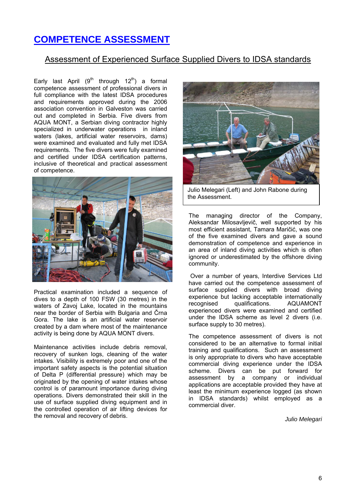# **COMPETENCE ASSESSMENT**

### Assessment of Experienced Surface Supplied Divers to IDSA standards

Early last April (9<sup>th</sup> through 12<sup>th</sup>) a formal competence assessment of professional divers in full compliance with the latest IDSA procedures and requirements approved during the 2006 association convention in Galveston was carried out and completed in Serbia. Five divers from AQUA MONT, a Serbian diving contractor highly specialized in underwater operations in inland waters (lakes, artificial water reservoirs, dams) were examined and evaluated and fully met IDSA requirements. The five divers were fully examined and certified under IDSA certification patterns, inclusive of theoretical and practical assessment of competence.



Practical examination included a sequence of dives to a depth of 100 FSW (30 metres) in the waters of Zavoj Lake, located in the mountains near the border of Serbia with Bulgaria and Črna Gora. The lake is an artificial water reservoir created by a dam where most of the maintenance activity is being done by AQUA MONT divers.

Maintenance activities include debris removal, recovery of sunken logs, cleaning of the water intakes. Visibility is extremely poor and one of the important safety aspects is the potential situation of Delta P (differential pressure) which may be originated by the opening of water intakes whose control is of paramount importance during diving operations. Divers demonstrated their skill in the use of surface supplied diving equipment and in the controlled operation of air lifting devices for the removal and recovery of debris.



Julio Melegari (Left) and John Rabone during the Assessment.

The managing director of the Company, Aleksandar Milosavljevič, well supported by his most efficient assistant, Tamara Maričić, was one of the five examined divers and gave a sound demonstration of competence and experience in an area of inland diving activities which is often ignored or underestimated by the offshore diving community.

 Over a number of years, Interdive Services Ltd have carried out the competence assessment of surface supplied divers with broad diving experience but lacking acceptable internationally recognised qualifications. AQUAMONT experienced divers were examined and certified under the IDSA scheme as level 2 divers (i.e. surface supply to 30 metres).

The competence assessment of divers is not considered to be an alternative to formal initial training and qualifications. Such an assessment is only appropriate to divers who have acceptable commercial diving experience under the IDSA scheme. Divers can be put forward for assessment by a company or individual applications are acceptable provided they have at least the minimum experience logged (as shown in IDSA standards) whilst employed as a commercial diver.

*Julio Melegari*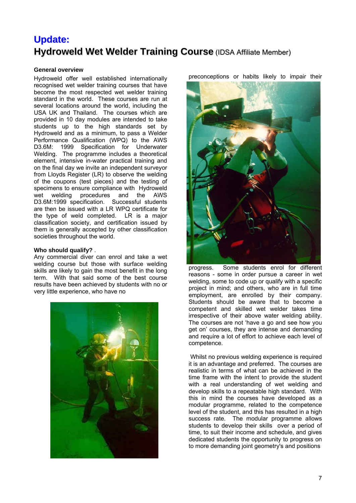# **Update: Hydroweld Wet Welder Training Course** (IDSA Affiliate Member)

### **General overview**

Hydroweld offer well established internationally recognised wet welder training courses that have become the most respected wet welder training standard in the world. These courses are run at several locations around the world, including the USA UK and Thailand. The courses which are provided in 10 day modules are intended to take students up to the high standards set by Hydroweld and as a minimum, to pass a Welder Performance Qualification (WPQ) to the AWS D3.6M: 1999 Specification for Underwater Welding. The programme includes a theoretical element, intensive in-water practical training and on the final day we invite an independent surveyor from Lloyds Register (LR) to observe the welding of the coupons (test pieces) and the testing of specimens to ensure compliance with Hydroweld wet welding procedures and the AWS D3.6M:1999 specification. Successful students are then be issued with a LR WPQ certificate for the type of weld completed. LR is a major classification society, and certification issued by them is generally accepted by other classification societies throughout the world.

#### **Who should qualify?** .

Any commercial diver can enrol and take a wet welding course but those with surface welding skills are likely to gain the most benefit in the long term. With that said some of the best course results have been achieved by students with no or very little experience, who have no



preconceptions or habits likely to impair their



progress. Some students enrol for different reasons - some in order pursue a career in wet welding, some to code up or qualify with a specific project in mind; and others, who are in full time employment, are enrolled by their company. Students should be aware that to become a competent and skilled wet welder takes time irrespective of their above water welding ability. The courses are not 'have a go and see how you get on' courses, they are intense and demanding and require a lot of effort to achieve each level of competence.

Whilst no previous welding experience is required it is an advantage and preferred. The courses are realistic in terms of what can be achieved in the time frame with the intent to provide the student with a real understanding of wet welding and develop skills to a repeatable high standard. With this in mind the courses have developed as a modular programme, related to the competence level of the student, and this has resulted in a high success rate. The modular programme allows students to develop their skills over a period of time, to suit their income and schedule, and gives dedicated students the opportunity to progress on to more demanding joint geometry's and positions